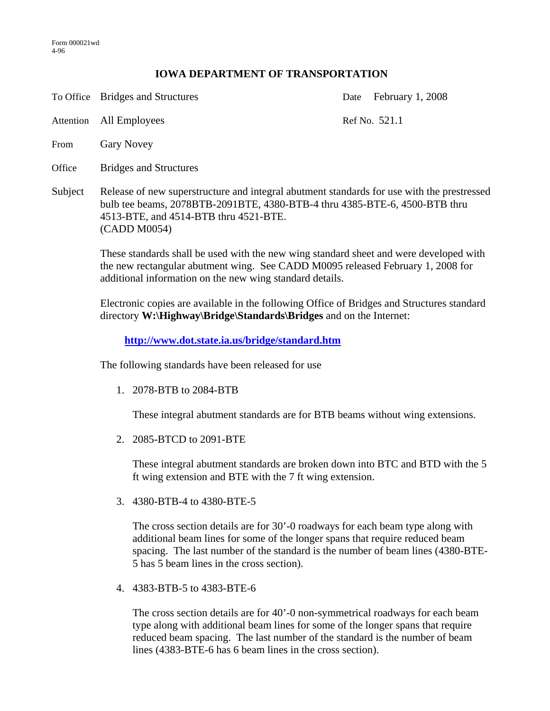## **IOWA DEPARTMENT OF TRANSPORTATION**

To Office Bridges and Structures Date February 1, 2008

Attention All Employees Ref No. 521.1

- From Gary Novey
- Office Bridges and Structures
- Subject Release of new superstructure and integral abutment standards for use with the prestressed bulb tee beams, 2078BTB-2091BTE, 4380-BTB-4 thru 4385-BTE-6, 4500-BTB thru 4513-BTE, and 4514-BTB thru 4521-BTE. (CADD M0054)

These standards shall be used with the new wing standard sheet and were developed with the new rectangular abutment wing. See CADD M0095 released February 1, 2008 for additional information on the new wing standard details.

Electronic copies are available in the following Office of Bridges and Structures standard directory **W:\Highway\Bridge\Standards\Bridges** and on the Internet:

**http://www.dot.state.ia.us/bridge/standard.htm**

The following standards have been released for use

1. 2078-BTB to 2084-BTB

These integral abutment standards are for BTB beams without wing extensions.

2. 2085-BTCD to 2091-BTE

These integral abutment standards are broken down into BTC and BTD with the 5 ft wing extension and BTE with the 7 ft wing extension.

3. 4380-BTB-4 to 4380-BTE-5

The cross section details are for 30'-0 roadways for each beam type along with additional beam lines for some of the longer spans that require reduced beam spacing. The last number of the standard is the number of beam lines (4380-BTE-5 has 5 beam lines in the cross section).

4. 4383-BTB-5 to 4383-BTE-6

The cross section details are for 40'-0 non-symmetrical roadways for each beam type along with additional beam lines for some of the longer spans that require reduced beam spacing. The last number of the standard is the number of beam lines (4383-BTE-6 has 6 beam lines in the cross section).